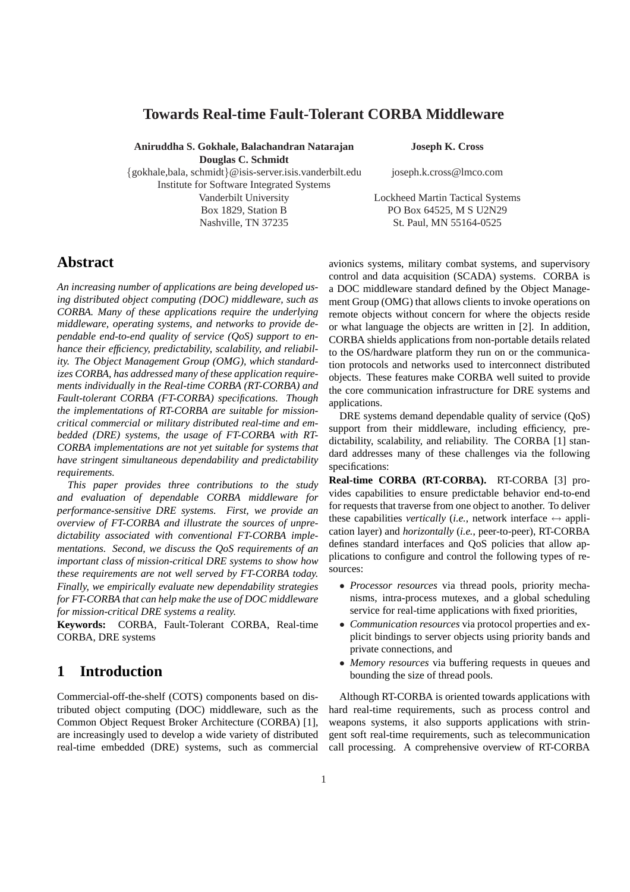## **Towards Real-time Fault-Tolerant CORBA Middleware**

**Aniruddha S. Gokhale, Balachandran Natarajan Joseph K. Cross Douglas C. Schmidt**

{gokhale,bala, schmidt}@isis-server.isis.vanderbilt.edu joseph.k.cross@lmco.com Institute for Software Integrated Systems Vanderbilt University Lockheed Martin Tactical Systems Box 1829, Station B PO Box 64525, M S U2N29

Nashville, TN 37235 St. Paul, MN 55164-0525

## **Abstract**

*An increasing number of applications are being developed using distributed object computing (DOC) middleware, such as CORBA. Many of these applications require the underlying middleware, operating systems, and networks to provide dependable end-to-end quality of service (QoS) support to enhance their efficiency, predictability, scalability, and reliability. The Object Management Group (OMG), which standardizes CORBA, has addressed many of these application requirements individually in the Real-time CORBA (RT-CORBA) and Fault-tolerant CORBA (FT-CORBA) specifications. Though the implementations of RT-CORBA are suitable for missioncritical commercial or military distributed real-time and embedded (DRE) systems, the usage of FT-CORBA with RT-CORBA implementations are not yet suitable for systems that have stringent simultaneous dependability and predictability requirements.*

*This paper provides three contributions to the study and evaluation of dependable CORBA middleware for performance-sensitive DRE systems. First, we provide an overview of FT-CORBA and illustrate the sources of unpredictability associated with conventional FT-CORBA implementations. Second, we discuss the QoS requirements of an important class of mission-critical DRE systems to show how these requirements are not well served by FT-CORBA today. Finally, we empirically evaluate new dependability strategies for FT-CORBA that can help make the use of DOC middleware for mission-critical DRE systems a reality.*

**Keywords:** CORBA, Fault-Tolerant CORBA, Real-time CORBA, DRE systems

# **1 Introduction**

Commercial-off-the-shelf (COTS) components based on distributed object computing (DOC) middleware, such as the Common Object Request Broker Architecture (CORBA) [1], are increasingly used to develop a wide variety of distributed real-time embedded (DRE) systems, such as commercial avionics systems, military combat systems, and supervisory control and data acquisition (SCADA) systems. CORBA is a DOC middleware standard defined by the Object Management Group (OMG) that allows clients to invoke operations on remote objects without concern for where the objects reside or what language the objects are written in [2]. In addition, CORBA shields applications from non-portable details related to the OS/hardware platform they run on or the communication protocols and networks used to interconnect distributed objects. These features make CORBA well suited to provide the core communication infrastructure for DRE systems and applications.

DRE systems demand dependable quality of service (QoS) support from their middleware, including efficiency, predictability, scalability, and reliability. The CORBA [1] standard addresses many of these challenges via the following specifications:

**Real-time CORBA (RT-CORBA).** RT-CORBA [3] provides capabilities to ensure predictable behavior end-to-end for requests that traverse from one object to another. To deliver these capabilities *vertically* (*i.e.*, network interface  $\leftrightarrow$  application layer) and *horizontally* (*i.e.*, peer-to-peer), RT-CORBA defines standard interfaces and QoS policies that allow applications to configure and control the following types of resources:

- *Processor resources* via thread pools, priority mechanisms, intra-process mutexes, and a global scheduling service for real-time applications with fixed priorities,
- *Communication resources* via protocol properties and explicit bindings to server objects using priority bands and private connections, and
- *Memory resources* via buffering requests in queues and bounding the size of thread pools.

Although RT-CORBA is oriented towards applications with hard real-time requirements, such as process control and weapons systems, it also supports applications with stringent soft real-time requirements, such as telecommunication call processing. A comprehensive overview of RT-CORBA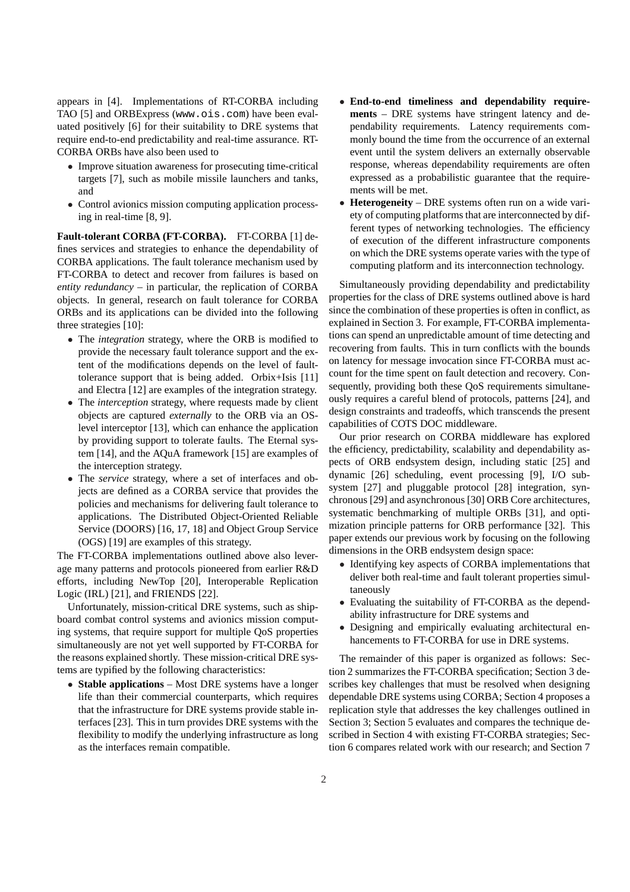appears in [4]. Implementations of RT-CORBA including TAO [5] and ORBExpress (www.ois.com) have been evaluated positively [6] for their suitability to DRE systems that require end-to-end predictability and real-time assurance. RT-CORBA ORBs have also been used to

- Improve situation awareness for prosecuting time-critical targets [7], such as mobile missile launchers and tanks, and
- Control avionics mission computing application processing in real-time [8, 9].

**Fault-tolerant CORBA (FT-CORBA).** FT-CORBA [1] defines services and strategies to enhance the dependability of CORBA applications. The fault tolerance mechanism used by FT-CORBA to detect and recover from failures is based on *entity redundancy* – in particular, the replication of CORBA objects. In general, research on fault tolerance for CORBA ORBs and its applications can be divided into the following three strategies [10]:

- The *integration* strategy, where the ORB is modified to provide the necessary fault tolerance support and the extent of the modifications depends on the level of faulttolerance support that is being added. Orbix+Isis [11] and Electra [12] are examples of the integration strategy.
- The *interception* strategy, where requests made by client objects are captured *externally* to the ORB via an OSlevel interceptor [13], which can enhance the application by providing support to tolerate faults. The Eternal system [14], and the AQuA framework [15] are examples of the interception strategy.
- The *service* strategy, where a set of interfaces and objects are defined as a CORBA service that provides the policies and mechanisms for delivering fault tolerance to applications. The Distributed Object-Oriented Reliable Service (DOORS) [16, 17, 18] and Object Group Service (OGS) [19] are examples of this strategy.

The FT-CORBA implementations outlined above also leverage many patterns and protocols pioneered from earlier R&D efforts, including NewTop [20], Interoperable Replication Logic (IRL) [21], and FRIENDS [22].

Unfortunately, mission-critical DRE systems, such as shipboard combat control systems and avionics mission computing systems, that require support for multiple QoS properties simultaneously are not yet well supported by FT-CORBA for the reasons explained shortly. These mission-critical DRE systems are typified by the following characteristics:

• **Stable applications** – Most DRE systems have a longer life than their commercial counterparts, which requires that the infrastructure for DRE systems provide stable interfaces [23]. This in turn provides DRE systems with the flexibility to modify the underlying infrastructure as long as the interfaces remain compatible.

- **End-to-end timeliness and dependability requirements** – DRE systems have stringent latency and dependability requirements. Latency requirements commonly bound the time from the occurrence of an external event until the system delivers an externally observable response, whereas dependability requirements are often expressed as a probabilistic guarantee that the requirements will be met.
- **Heterogeneity** DRE systems often run on a wide variety of computing platforms that are interconnected by different types of networking technologies. The efficiency of execution of the different infrastructure components on which the DRE systems operate varies with the type of computing platform and its interconnection technology.

Simultaneously providing dependability and predictability properties for the class of DRE systems outlined above is hard since the combination of these properties is often in conflict, as explained in Section 3. For example, FT-CORBA implementations can spend an unpredictable amount of time detecting and recovering from faults. This in turn conflicts with the bounds on latency for message invocation since FT-CORBA must account for the time spent on fault detection and recovery. Consequently, providing both these QoS requirements simultaneously requires a careful blend of protocols, patterns [24], and design constraints and tradeoffs, which transcends the present capabilities of COTS DOC middleware.

Our prior research on CORBA middleware has explored the efficiency, predictability, scalability and dependability aspects of ORB endsystem design, including static [25] and dynamic [26] scheduling, event processing [9], I/O subsystem [27] and pluggable protocol [28] integration, synchronous [29] and asynchronous [30] ORB Core architectures, systematic benchmarking of multiple ORBs [31], and optimization principle patterns for ORB performance [32]. This paper extends our previous work by focusing on the following dimensions in the ORB endsystem design space:

- Identifying key aspects of CORBA implementations that deliver both real-time and fault tolerant properties simultaneously
- Evaluating the suitability of FT-CORBA as the dependability infrastructure for DRE systems and
- Designing and empirically evaluating architectural enhancements to FT-CORBA for use in DRE systems.

The remainder of this paper is organized as follows: Section 2 summarizes the FT-CORBA specification; Section 3 describes key challenges that must be resolved when designing dependable DRE systems using CORBA; Section 4 proposes a replication style that addresses the key challenges outlined in Section 3; Section 5 evaluates and compares the technique described in Section 4 with existing FT-CORBA strategies; Section 6 compares related work with our research; and Section 7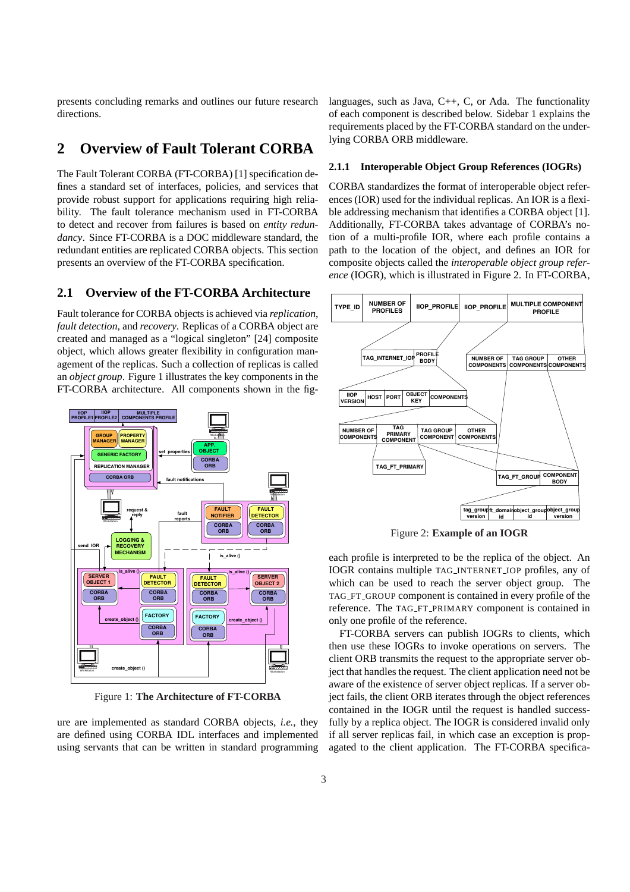presents concluding remarks and outlines our future research directions.

# **2 Overview of Fault Tolerant CORBA**

The Fault Tolerant CORBA (FT-CORBA) [1] specification defines a standard set of interfaces, policies, and services that provide robust support for applications requiring high reliability. The fault tolerance mechanism used in FT-CORBA to detect and recover from failures is based on *entity redundancy*. Since FT-CORBA is a DOC middleware standard, the redundant entities are replicated CORBA objects. This section presents an overview of the FT-CORBA specification.

#### **2.1 Overview of the FT-CORBA Architecture**

Fault tolerance for CORBA objects is achieved via *replication*, *fault detection*, and *recovery*. Replicas of a CORBA object are created and managed as a "logical singleton" [24] composite object, which allows greater flexibility in configuration management of the replicas. Such a collection of replicas is called an *object group*. Figure 1 illustrates the key components in the FT-CORBA architecture. All components shown in the fig-



Figure 1: **The Architecture of FT-CORBA**

ure are implemented as standard CORBA objects, *i.e.*, they are defined using CORBA IDL interfaces and implemented using servants that can be written in standard programming languages, such as Java,  $C_{++}$ , C, or Ada. The functionality of each component is described below. Sidebar 1 explains the requirements placed by the FT-CORBA standard on the underlying CORBA ORB middleware.

#### **2.1.1 Interoperable Object Group References (IOGRs)**

CORBA standardizes the format of interoperable object references (IOR) used for the individual replicas. An IOR is a flexible addressing mechanism that identifies a CORBA object [1]. Additionally, FT-CORBA takes advantage of CORBA's notion of a multi-profile IOR, where each profile contains a path to the location of the object, and defines an IOR for composite objects called the *interoperable object group reference* (IOGR), which is illustrated in Figure 2. In FT-CORBA,



Figure 2: **Example of an IOGR**

each profile is interpreted to be the replica of the object. An IOGR contains multiple TAG INTERNET IOP profiles, any of which can be used to reach the server object group. The TAG FT GROUP component is contained in every profile of the reference. The TAG FT PRIMARY component is contained in only one profile of the reference.

FT-CORBA servers can publish IOGRs to clients, which then use these IOGRs to invoke operations on servers. The client ORB transmits the request to the appropriate server object that handles the request. The client application need not be aware of the existence of server object replicas. If a server object fails, the client ORB iterates through the object references contained in the IOGR until the request is handled successfully by a replica object. The IOGR is considered invalid only if all server replicas fail, in which case an exception is propagated to the client application. The FT-CORBA specifica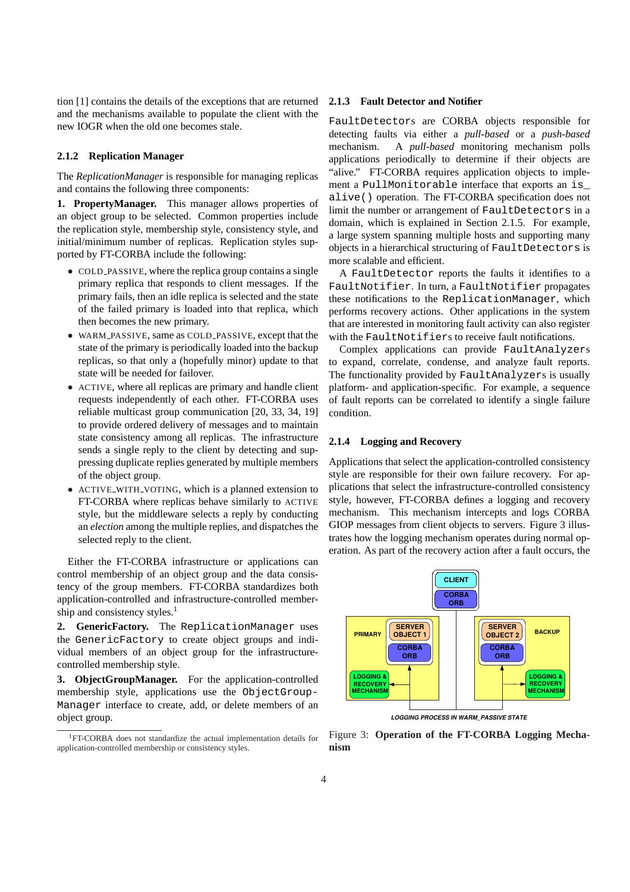tion [1] contains the details of the exceptions that are returned and the mechanisms available to populate the client with the new IOGR when the old one becomes stale.

#### **2.1.2 Replication Manager**

The *ReplicationManager* is responsible for managing replicas and contains the following three components:

**1. PropertyManager.** This manager allows properties of an object group to be selected. Common properties include the replication style, membership style, consistency style, and initial/minimum number of replicas. Replication styles supported by FT-CORBA include the following:

- COLD PASSIVE, where the replica group contains a single primary replica that responds to client messages. If the primary fails, then an idle replica is selected and the state of the failed primary is loaded into that replica, which then becomes the new primary.
- WARM\_PASSIVE, same as COLD\_PASSIVE, except that the state of the primary is periodically loaded into the backup replicas, so that only a (hopefully minor) update to that state will be needed for failover.
- ACTIVE, where all replicas are primary and handle client requests independently of each other. FT-CORBA uses reliable multicast group communication [20, 33, 34, 19] to provide ordered delivery of messages and to maintain state consistency among all replicas. The infrastructure sends a single reply to the client by detecting and suppressing duplicate replies generated by multiple members of the object group.
- ACTIVE\_WITH\_VOTING, which is a planned extension to FT-CORBA where replicas behave similarly to ACTIVE style, but the middleware selects a reply by conducting an *election* among the multiple replies, and dispatches the selected reply to the client.

Either the FT-CORBA infrastructure or applications can control membership of an object group and the data consistency of the group members. FT-CORBA standardizes both application-controlled and infrastructure-controlled membership and consistency styles.<sup>1</sup>

**2. GenericFactory.** The ReplicationManager uses the GenericFactory to create object groups and individual members of an object group for the infrastructurecontrolled membership style.

**3. ObjectGroupManager.** For the application-controlled membership style, applications use the ObjectGroup-Manager interface to create, add, or delete members of an object group.

#### **2.1.3 Fault Detector and Notifier**

FaultDetectors are CORBA objects responsible for detecting faults via either a *pull-based* or a *push-based* mechanism. A *pull-based* monitoring mechanism polls applications periodically to determine if their objects are "alive." FT-CORBA requires application objects to implement a PullMonitorable interface that exports an is\_ alive() operation. The FT-CORBA specification does not limit the number or arrangement of FaultDetectors in a domain, which is explained in Section 2.1.5. For example, a large system spanning multiple hosts and supporting many objects in a hierarchical structuring of FaultDetectors is more scalable and efficient.

A FaultDetector reports the faults it identifies to a FaultNotifier. In turn, a FaultNotifier propagates these notifications to the ReplicationManager, which performs recovery actions. Other applications in the system that are interested in monitoring fault activity can also register with the FaultNotifiers to receive fault notifications.

Complex applications can provide FaultAnalyzers to expand, correlate, condense, and analyze fault reports. The functionality provided by FaultAnalyzers is usually platform- and application-specific. For example, a sequence of fault reports can be correlated to identify a single failure condition.

#### **2.1.4 Logging and Recovery**

Applications that select the application-controlled consistency style are responsible for their own failure recovery. For applications that select the infrastructure-controlled consistency style, however, FT-CORBA defines a logging and recovery mechanism. This mechanism intercepts and logs CORBA GIOP messages from client objects to servers. Figure 3 illustrates how the logging mechanism operates during normal operation. As part of the recovery action after a fault occurs, the



Figure 3: **Operation of the FT-CORBA Logging Mechanism**

<sup>1</sup>FT-CORBA does not standardize the actual implementation details for application-controlled membership or consistency styles.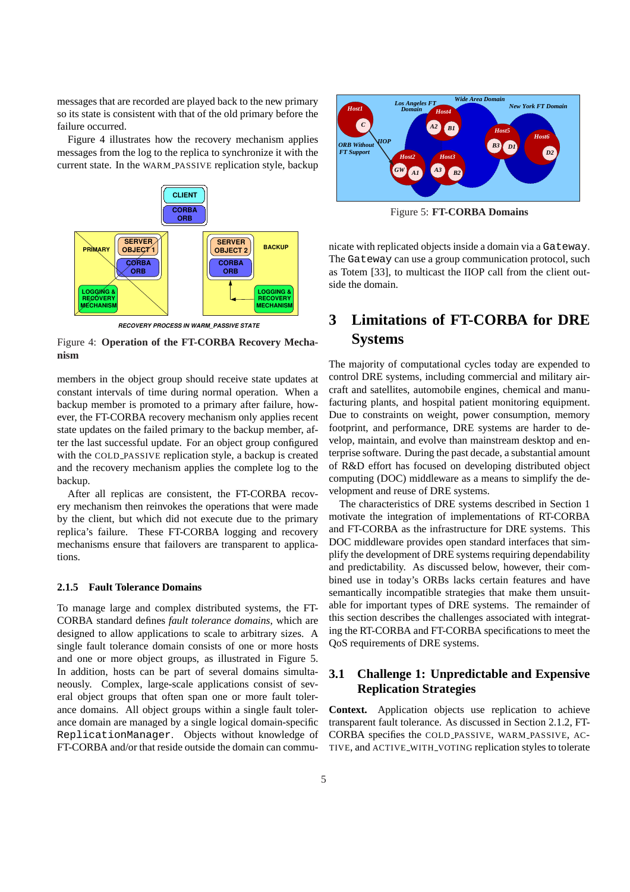messages that are recorded are played back to the new primary so its state is consistent with that of the old primary before the failure occurred.

Figure 4 illustrates how the recovery mechanism applies messages from the log to the replica to synchronize it with the current state. In the WARM PASSIVE replication style, backup



**RECOVERY PROCESS IN WARM\_PASSIVE STATE** 

Figure 4: **Operation of the FT-CORBA Recovery Mechanism**

members in the object group should receive state updates at constant intervals of time during normal operation. When a backup member is promoted to a primary after failure, however, the FT-CORBA recovery mechanism only applies recent state updates on the failed primary to the backup member, after the last successful update. For an object group configured with the COLD PASSIVE replication style, a backup is created and the recovery mechanism applies the complete log to the backup.

After all replicas are consistent, the FT-CORBA recovery mechanism then reinvokes the operations that were made by the client, but which did not execute due to the primary replica's failure. These FT-CORBA logging and recovery mechanisms ensure that failovers are transparent to applications.

#### **2.1.5 Fault Tolerance Domains**

To manage large and complex distributed systems, the FT-CORBA standard defines *fault tolerance domains*, which are designed to allow applications to scale to arbitrary sizes. A single fault tolerance domain consists of one or more hosts and one or more object groups, as illustrated in Figure 5. In addition, hosts can be part of several domains simultaneously. Complex, large-scale applications consist of several object groups that often span one or more fault tolerance domains. All object groups within a single fault tolerance domain are managed by a single logical domain-specific ReplicationManager. Objects without knowledge of FT-CORBA and/or that reside outside the domain can commu-



Figure 5: **FT-CORBA Domains**

nicate with replicated objects inside a domain via a Gateway. The Gateway can use a group communication protocol, such as Totem [33], to multicast the IIOP call from the client outside the domain.

# **3 Limitations of FT-CORBA for DRE Systems**

The majority of computational cycles today are expended to control DRE systems, including commercial and military aircraft and satellites, automobile engines, chemical and manufacturing plants, and hospital patient monitoring equipment. Due to constraints on weight, power consumption, memory footprint, and performance, DRE systems are harder to develop, maintain, and evolve than mainstream desktop and enterprise software. During the past decade, a substantial amount of R&D effort has focused on developing distributed object computing (DOC) middleware as a means to simplify the development and reuse of DRE systems.

The characteristics of DRE systems described in Section 1 motivate the integration of implementations of RT-CORBA and FT-CORBA as the infrastructure for DRE systems. This DOC middleware provides open standard interfaces that simplify the development of DRE systems requiring dependability and predictability. As discussed below, however, their combined use in today's ORBs lacks certain features and have semantically incompatible strategies that make them unsuitable for important types of DRE systems. The remainder of this section describes the challenges associated with integrating the RT-CORBA and FT-CORBA specifications to meet the QoS requirements of DRE systems.

## **3.1 Challenge 1: Unpredictable and Expensive Replication Strategies**

**Context.** Application objects use replication to achieve transparent fault tolerance. As discussed in Section 2.1.2, FT-CORBA specifies the COLD PASSIVE, WARM PASSIVE, AC-TIVE, and ACTIVE WITH VOTING replication styles to tolerate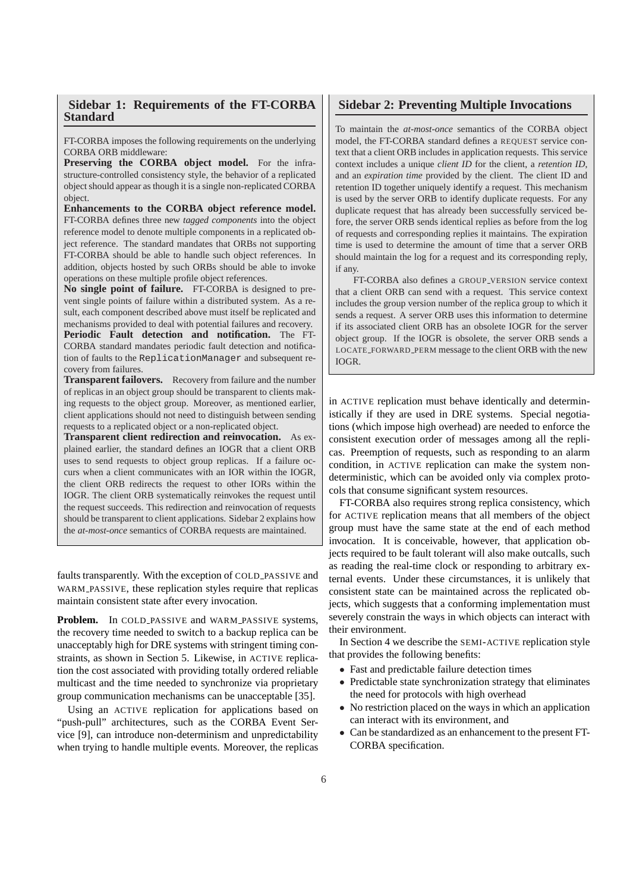#### **Sidebar 1: Requirements of the FT-CORBA Standard**

FT-CORBA imposes the following requirements on the underlying CORBA ORB middleware:

Preserving the CORBA object model. For the infrastructure-controlled consistency style, the behavior of a replicated object should appear as though it is a single non-replicated CORBA object.

**Enhancements to the CORBA object reference model.** FT-CORBA defines three new *tagged components* into the object reference model to denote multiple components in a replicated object reference. The standard mandates that ORBs not supporting FT-CORBA should be able to handle such object references. In addition, objects hosted by such ORBs should be able to invoke operations on these multiple profile object references.

**No single point of failure.** FT-CORBA is designed to prevent single points of failure within a distributed system. As a result, each component described above must itself be replicated and mechanisms provided to deal with potential failures and recovery. **Periodic Fault detection and notification.** The FT-CORBA standard mandates periodic fault detection and notification of faults to the ReplicationManager and subsequent recovery from failures.

**Transparent failovers.** Recovery from failure and the number of replicas in an object group should be transparent to clients making requests to the object group. Moreover, as mentioned earlier, client applications should not need to distinguish between sending requests to a replicated object or a non-replicated object.

**Transparent client redirection and reinvocation.** As explained earlier, the standard defines an IOGR that a client ORB uses to send requests to object group replicas. If a failure occurs when a client communicates with an IOR within the IOGR, the client ORB redirects the request to other IORs within the IOGR. The client ORB systematically reinvokes the request until the request succeeds. This redirection and reinvocation of requests should be transparent to client applications. Sidebar 2 explains how the *at-most-once* semantics of CORBA requests are maintained.

faults transparently. With the exception of COLD PASSIVE and WARM PASSIVE, these replication styles require that replicas maintain consistent state after every invocation.

Problem. In COLD\_PASSIVE and WARM\_PASSIVE systems, the recovery time needed to switch to a backup replica can be unacceptably high for DRE systems with stringent timing constraints, as shown in Section 5. Likewise, in ACTIVE replication the cost associated with providing totally ordered reliable multicast and the time needed to synchronize via proprietary group communication mechanisms can be unacceptable [35].

Using an ACTIVE replication for applications based on "push-pull" architectures, such as the CORBA Event Service [9], can introduce non-determinism and unpredictability when trying to handle multiple events. Moreover, the replicas

#### **Sidebar 2: Preventing Multiple Invocations**

To maintain the *at-most-once* semantics of the CORBA object model, the FT-CORBA standard defines a REQUEST service context that a client ORB includes in application requests. This service context includes a unique *client ID* for the client, a *retention ID*, and an *expiration time* provided by the client. The client ID and retention ID together uniquely identify a request. This mechanism is used by the server ORB to identify duplicate requests. For any duplicate request that has already been successfully serviced before, the server ORB sends identical replies as before from the log of requests and corresponding replies it maintains. The expiration time is used to determine the amount of time that a server ORB should maintain the log for a request and its corresponding reply, if any.

FT-CORBA also defines a GROUP VERSION service context that a client ORB can send with a request. This service context includes the group version number of the replica group to which it sends a request. A server ORB uses this information to determine if its associated client ORB has an obsolete IOGR for the server object group. If the IOGR is obsolete, the server ORB sends a LOCATE FORWARD PERM message to the client ORB with the new IOGR.

in ACTIVE replication must behave identically and deterministically if they are used in DRE systems. Special negotiations (which impose high overhead) are needed to enforce the consistent execution order of messages among all the replicas. Preemption of requests, such as responding to an alarm condition, in ACTIVE replication can make the system nondeterministic, which can be avoided only via complex protocols that consume significant system resources.

FT-CORBA also requires strong replica consistency, which for ACTIVE replication means that all members of the object group must have the same state at the end of each method invocation. It is conceivable, however, that application objects required to be fault tolerant will also make outcalls, such as reading the real-time clock or responding to arbitrary external events. Under these circumstances, it is unlikely that consistent state can be maintained across the replicated objects, which suggests that a conforming implementation must severely constrain the ways in which objects can interact with their environment.

In Section 4 we describe the SEMI-ACTIVE replication style that provides the following benefits:

- Fast and predictable failure detection times
- Predictable state synchronization strategy that eliminates the need for protocols with high overhead
- No restriction placed on the ways in which an application can interact with its environment, and
- Can be standardized as an enhancement to the present FT-CORBA specification.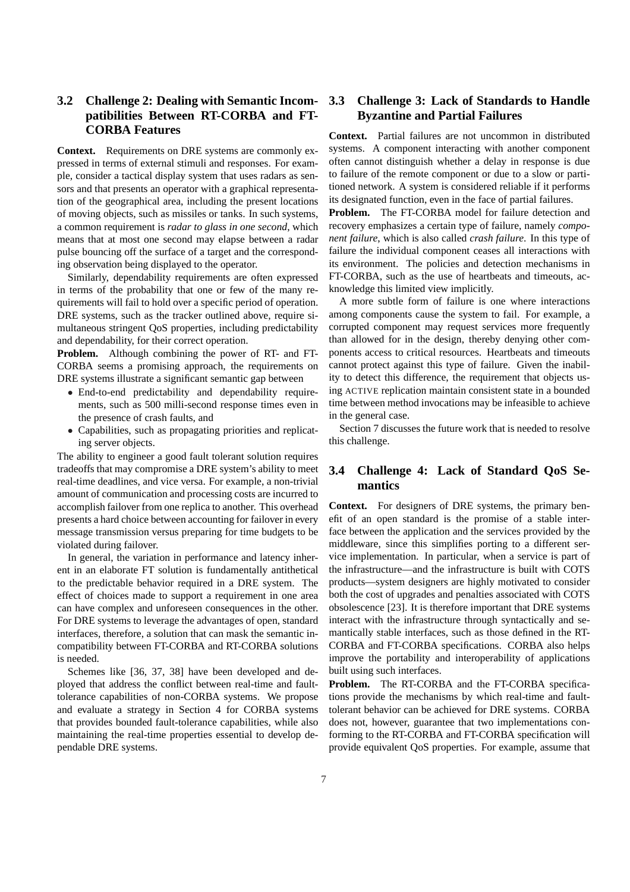## **3.2 Challenge 2: Dealing with Semantic Incompatibilities Between RT-CORBA and FT-CORBA Features**

**Context.** Requirements on DRE systems are commonly expressed in terms of external stimuli and responses. For example, consider a tactical display system that uses radars as sensors and that presents an operator with a graphical representation of the geographical area, including the present locations of moving objects, such as missiles or tanks. In such systems, a common requirement is *radar to glass in one second*, which means that at most one second may elapse between a radar pulse bouncing off the surface of a target and the corresponding observation being displayed to the operator.

Similarly, dependability requirements are often expressed in terms of the probability that one or few of the many requirements will fail to hold over a specific period of operation. DRE systems, such as the tracker outlined above, require simultaneous stringent QoS properties, including predictability and dependability, for their correct operation.

**Problem.** Although combining the power of RT- and FT-CORBA seems a promising approach, the requirements on DRE systems illustrate a significant semantic gap between

- End-to-end predictability and dependability requirements, such as 500 milli-second response times even in the presence of crash faults, and
- Capabilities, such as propagating priorities and replicating server objects.

The ability to engineer a good fault tolerant solution requires tradeoffs that may compromise a DRE system's ability to meet real-time deadlines, and vice versa. For example, a non-trivial amount of communication and processing costs are incurred to accomplish failover from one replica to another. This overhead presents a hard choice between accounting for failover in every message transmission versus preparing for time budgets to be violated during failover.

In general, the variation in performance and latency inherent in an elaborate FT solution is fundamentally antithetical to the predictable behavior required in a DRE system. The effect of choices made to support a requirement in one area can have complex and unforeseen consequences in the other. For DRE systems to leverage the advantages of open, standard interfaces, therefore, a solution that can mask the semantic incompatibility between FT-CORBA and RT-CORBA solutions is needed.

Schemes like [36, 37, 38] have been developed and deployed that address the conflict between real-time and faulttolerance capabilities of non-CORBA systems. We propose and evaluate a strategy in Section 4 for CORBA systems that provides bounded fault-tolerance capabilities, while also maintaining the real-time properties essential to develop dependable DRE systems.

## **3.3 Challenge 3: Lack of Standards to Handle Byzantine and Partial Failures**

**Context.** Partial failures are not uncommon in distributed systems. A component interacting with another component often cannot distinguish whether a delay in response is due to failure of the remote component or due to a slow or partitioned network. A system is considered reliable if it performs its designated function, even in the face of partial failures.

**Problem.** The FT-CORBA model for failure detection and recovery emphasizes a certain type of failure, namely *component failure*, which is also called *crash failure*. In this type of failure the individual component ceases all interactions with its environment. The policies and detection mechanisms in FT-CORBA, such as the use of heartbeats and timeouts, acknowledge this limited view implicitly.

A more subtle form of failure is one where interactions among components cause the system to fail. For example, a corrupted component may request services more frequently than allowed for in the design, thereby denying other components access to critical resources. Heartbeats and timeouts cannot protect against this type of failure. Given the inability to detect this difference, the requirement that objects using ACTIVE replication maintain consistent state in a bounded time between method invocations may be infeasible to achieve in the general case.

Section 7 discusses the future work that is needed to resolve this challenge.

## **3.4 Challenge 4: Lack of Standard QoS Semantics**

**Context.** For designers of DRE systems, the primary benefit of an open standard is the promise of a stable interface between the application and the services provided by the middleware, since this simplifies porting to a different service implementation. In particular, when a service is part of the infrastructure—and the infrastructure is built with COTS products—system designers are highly motivated to consider both the cost of upgrades and penalties associated with COTS obsolescence [23]. It is therefore important that DRE systems interact with the infrastructure through syntactically and semantically stable interfaces, such as those defined in the RT-CORBA and FT-CORBA specifications. CORBA also helps improve the portability and interoperability of applications built using such interfaces.

**Problem.** The RT-CORBA and the FT-CORBA specifications provide the mechanisms by which real-time and faulttolerant behavior can be achieved for DRE systems. CORBA does not, however, guarantee that two implementations conforming to the RT-CORBA and FT-CORBA specification will provide equivalent QoS properties. For example, assume that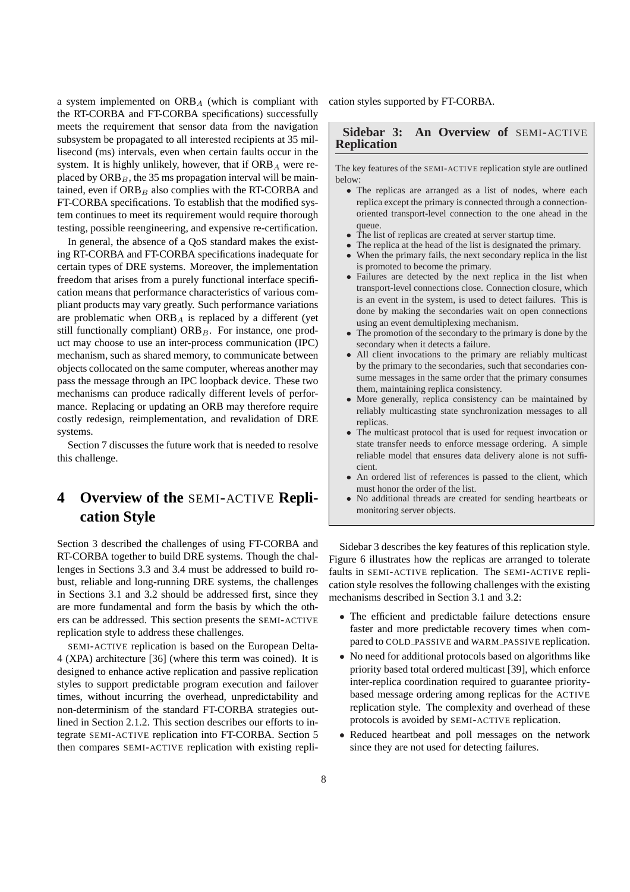a system implemented on  $ORB<sub>A</sub>$  (which is compliant with the RT-CORBA and FT-CORBA specifications) successfully meets the requirement that sensor data from the navigation subsystem be propagated to all interested recipients at 35 millisecond (ms) intervals, even when certain faults occur in the system. It is highly unlikely, however, that if  $ORB<sub>A</sub>$  were replaced by  $\text{ORB}_B$ , the 35 ms propagation interval will be maintained, even if  $ORB<sub>B</sub>$  also complies with the RT-CORBA and FT-CORBA specifications. To establish that the modified system continues to meet its requirement would require thorough testing, possible reengineering, and expensive re-certification.

In general, the absence of a QoS standard makes the existing RT-CORBA and FT-CORBA specifications inadequate for certain types of DRE systems. Moreover, the implementation freedom that arises from a purely functional interface specification means that performance characteristics of various compliant products may vary greatly. Such performance variations are problematic when  $ORB<sub>A</sub>$  is replaced by a different (yet still functionally compliant)  $ORB<sub>B</sub>$ . For instance, one product may choose to use an inter-process communication (IPC) mechanism, such as shared memory, to communicate between objects collocated on the same computer, whereas another may pass the message through an IPC loopback device. These two mechanisms can produce radically different levels of performance. Replacing or updating an ORB may therefore require costly redesign, reimplementation, and revalidation of DRE systems.

Section 7 discusses the future work that is needed to resolve this challenge.

# **4 Overview of the** SEMI-ACTIVE **Replication Style**

Section 3 described the challenges of using FT-CORBA and RT-CORBA together to build DRE systems. Though the challenges in Sections 3.3 and 3.4 must be addressed to build robust, reliable and long-running DRE systems, the challenges in Sections 3.1 and 3.2 should be addressed first, since they are more fundamental and form the basis by which the others can be addressed. This section presents the SEMI-ACTIVE replication style to address these challenges.

SEMI-ACTIVE replication is based on the European Delta-4 (XPA) architecture [36] (where this term was coined). It is designed to enhance active replication and passive replication styles to support predictable program execution and failover times, without incurring the overhead, unpredictability and non-determinism of the standard FT-CORBA strategies outlined in Section 2.1.2. This section describes our efforts to integrate SEMI-ACTIVE replication into FT-CORBA. Section 5 then compares SEMI-ACTIVE replication with existing replication styles supported by FT-CORBA.

### **Sidebar 3: An Overview of** SEMI-ACTIVE **Replication**

The key features of the SEMI-ACTIVE replication style are outlined below:

- The replicas are arranged as a list of nodes, where each replica except the primary is connected through a connectionoriented transport-level connection to the one ahead in the queue.
- The list of replicas are created at server startup time.
- The replica at the head of the list is designated the primary.
- When the primary fails, the next secondary replica in the list is promoted to become the primary.
- Failures are detected by the next replica in the list when transport-level connections close. Connection closure, which is an event in the system, is used to detect failures. This is done by making the secondaries wait on open connections using an event demultiplexing mechanism.
- The promotion of the secondary to the primary is done by the secondary when it detects a failure.
- All client invocations to the primary are reliably multicast by the primary to the secondaries, such that secondaries consume messages in the same order that the primary consumes them, maintaining replica consistency.
- More generally, replica consistency can be maintained by reliably multicasting state synchronization messages to all replicas.
- The multicast protocol that is used for request invocation or state transfer needs to enforce message ordering. A simple reliable model that ensures data delivery alone is not sufficient.
- An ordered list of references is passed to the client, which must honor the order of the list.
- No additional threads are created for sending heartbeats or monitoring server objects.

Sidebar 3 describes the key features of this replication style. Figure 6 illustrates how the replicas are arranged to tolerate faults in SEMI-ACTIVE replication. The SEMI-ACTIVE replication style resolves the following challenges with the existing mechanisms described in Section 3.1 and 3.2:

- The efficient and predictable failure detections ensure faster and more predictable recovery times when compared to COLD PASSIVE and WARM PASSIVE replication.
- No need for additional protocols based on algorithms like priority based total ordered multicast [39], which enforce inter-replica coordination required to guarantee prioritybased message ordering among replicas for the ACTIVE replication style. The complexity and overhead of these protocols is avoided by SEMI-ACTIVE replication.
- Reduced heartbeat and poll messages on the network since they are not used for detecting failures.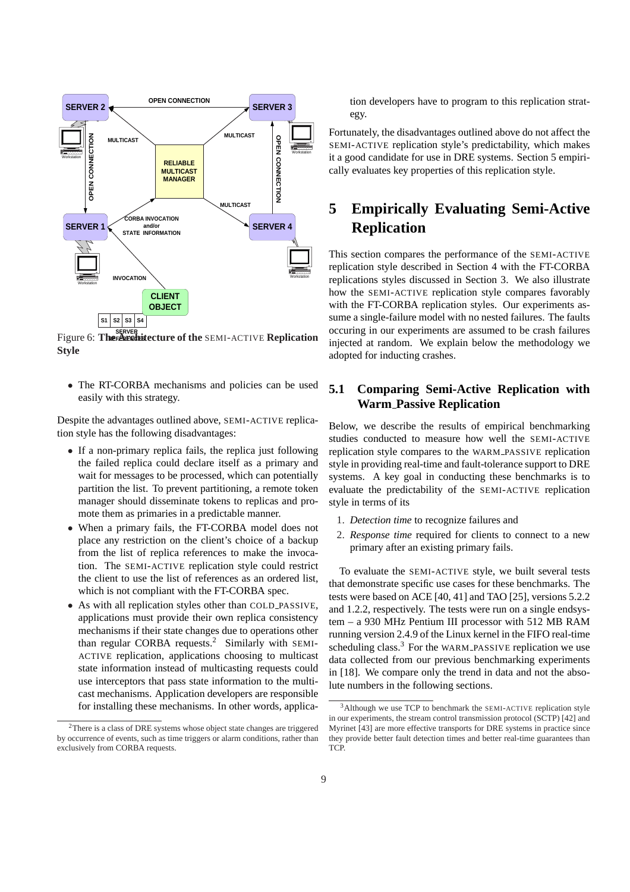

**REFERENCES** Figure 6: **The Architecture of the** SEMI-ACTIVE **Replication Style**

• The RT-CORBA mechanisms and policies can be used easily with this strategy.

Despite the advantages outlined above, SEMI-ACTIVE replication style has the following disadvantages:

- If a non-primary replica fails, the replica just following the failed replica could declare itself as a primary and wait for messages to be processed, which can potentially partition the list. To prevent partitioning, a remote token manager should disseminate tokens to replicas and promote them as primaries in a predictable manner.
- When a primary fails, the FT-CORBA model does not place any restriction on the client's choice of a backup from the list of replica references to make the invocation. The SEMI-ACTIVE replication style could restrict the client to use the list of references as an ordered list, which is not compliant with the FT-CORBA spec.
- As with all replication styles other than COLD PASSIVE, applications must provide their own replica consistency mechanisms if their state changes due to operations other than regular CORBA requests.<sup>2</sup> Similarly with SEMI-ACTIVE replication, applications choosing to multicast state information instead of multicasting requests could use interceptors that pass state information to the multicast mechanisms. Application developers are responsible for installing these mechanisms. In other words, applica-

tion developers have to program to this replication strategy.

Fortunately, the disadvantages outlined above do not affect the SEMI-ACTIVE replication style's predictability, which makes it a good candidate for use in DRE systems. Section 5 empirically evaluates key properties of this replication style.

# **5 Empirically Evaluating Semi-Active Replication**

This section compares the performance of the SEMI-ACTIVE replication style described in Section 4 with the FT-CORBA replications styles discussed in Section 3. We also illustrate how the SEMI-ACTIVE replication style compares favorably with the FT-CORBA replication styles. Our experiments assume a single-failure model with no nested failures. The faults occuring in our experiments are assumed to be crash failures injected at random. We explain below the methodology we adopted for inducting crashes.

## **5.1 Comparing Semi-Active Replication with Warm Passive Replication**

Below, we describe the results of empirical benchmarking studies conducted to measure how well the SEMI-ACTIVE replication style compares to the WARM PASSIVE replication style in providing real-time and fault-tolerance support to DRE systems. A key goal in conducting these benchmarks is to evaluate the predictability of the SEMI-ACTIVE replication style in terms of its

- 1. *Detection time* to recognize failures and
- 2. *Response time* required for clients to connect to a new primary after an existing primary fails.

To evaluate the SEMI-ACTIVE style, we built several tests that demonstrate specific use cases for these benchmarks. The tests were based on ACE [40, 41] and TAO [25], versions 5.2.2 and 1.2.2, respectively. The tests were run on a single endsystem – a 930 MHz Pentium III processor with 512 MB RAM running version 2.4.9 of the Linux kernel in the FIFO real-time scheduling class.<sup>3</sup> For the WARM PASSIVE replication we use data collected from our previous benchmarking experiments in [18]. We compare only the trend in data and not the absolute numbers in the following sections.

<sup>2</sup>There is a class of DRE systems whose object state changes are triggered by occurrence of events, such as time triggers or alarm conditions, rather than exclusively from CORBA requests.

<sup>&</sup>lt;sup>3</sup>Although we use TCP to benchmark the SEMI-ACTIVE replication style in our experiments, the stream control transmission protocol (SCTP) [42] and Myrinet [43] are more effective transports for DRE systems in practice since they provide better fault detection times and better real-time guarantees than TCP.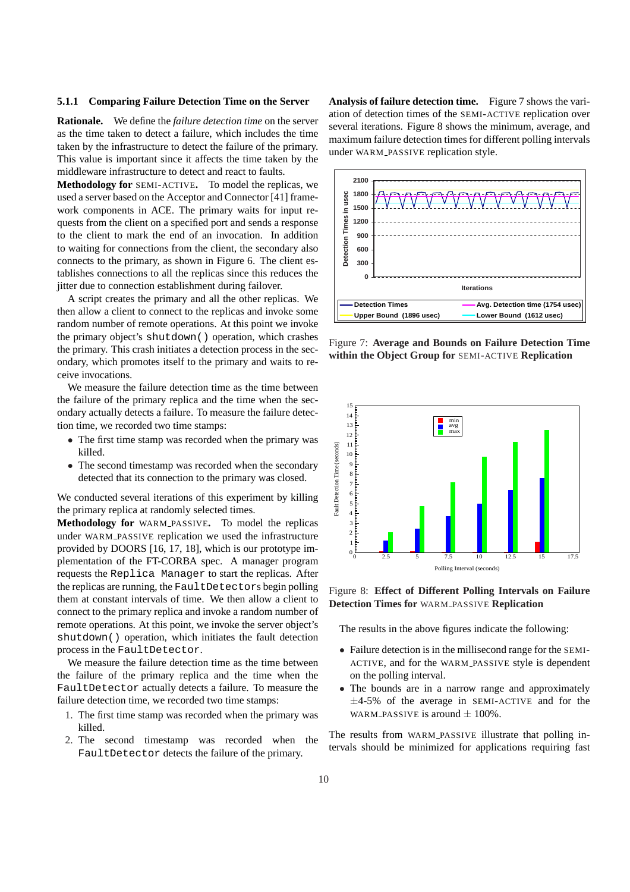#### **5.1.1 Comparing Failure Detection Time on the Server**

**Rationale.** We define the *failure detection time* on the server as the time taken to detect a failure, which includes the time taken by the infrastructure to detect the failure of the primary. This value is important since it affects the time taken by the middleware infrastructure to detect and react to faults.

**Methodology for** SEMI-ACTIVE**.** To model the replicas, we used a server based on the Acceptor and Connector [41] framework components in ACE. The primary waits for input requests from the client on a specified port and sends a response to the client to mark the end of an invocation. In addition to waiting for connections from the client, the secondary also connects to the primary, as shown in Figure 6. The client establishes connections to all the replicas since this reduces the jitter due to connection establishment during failover.

A script creates the primary and all the other replicas. We then allow a client to connect to the replicas and invoke some random number of remote operations. At this point we invoke the primary object's shutdown() operation, which crashes the primary. This crash initiates a detection process in the secondary, which promotes itself to the primary and waits to receive invocations.

We measure the failure detection time as the time between the failure of the primary replica and the time when the secondary actually detects a failure. To measure the failure detection time, we recorded two time stamps:

- The first time stamp was recorded when the primary was killed.
- The second timestamp was recorded when the secondary detected that its connection to the primary was closed.

We conducted several iterations of this experiment by killing the primary replica at randomly selected times.

**Methodology for** WARM PASSIVE**.** To model the replicas under WARM PASSIVE replication we used the infrastructure provided by DOORS [16, 17, 18], which is our prototype implementation of the FT-CORBA spec. A manager program requests the Replica Manager to start the replicas. After the replicas are running, the FaultDetectors begin polling them at constant intervals of time. We then allow a client to connect to the primary replica and invoke a random number of remote operations. At this point, we invoke the server object's shutdown() operation, which initiates the fault detection process in the FaultDetector.

We measure the failure detection time as the time between the failure of the primary replica and the time when the FaultDetector actually detects a failure. To measure the failure detection time, we recorded two time stamps:

- 1. The first time stamp was recorded when the primary was killed.
- 2. The second timestamp was recorded when the FaultDetector detects the failure of the primary.

**Analysis of failure detection time.** Figure 7 shows the variation of detection times of the SEMI-ACTIVE replication over several iterations. Figure 8 shows the minimum, average, and maximum failure detection times for different polling intervals under WARM PASSIVE replication style.



Figure 7: **Average and Bounds on Failure Detection Time within the Object Group for** SEMI-ACTIVE **Replication**



Figure 8: **Effect of Different Polling Intervals on Failure Detection Times for** WARM PASSIVE **Replication**

The results in the above figures indicate the following:

- Failure detection is in the millisecond range for the SEMI-ACTIVE, and for the WARM PASSIVE style is dependent on the polling interval.
- The bounds are in a narrow range and approximately  $\pm$ 4-5% of the average in SEMI-ACTIVE and for the WARM\_PASSIVE is around  $\pm$  100%.

The results from WARM PASSIVE illustrate that polling intervals should be minimized for applications requiring fast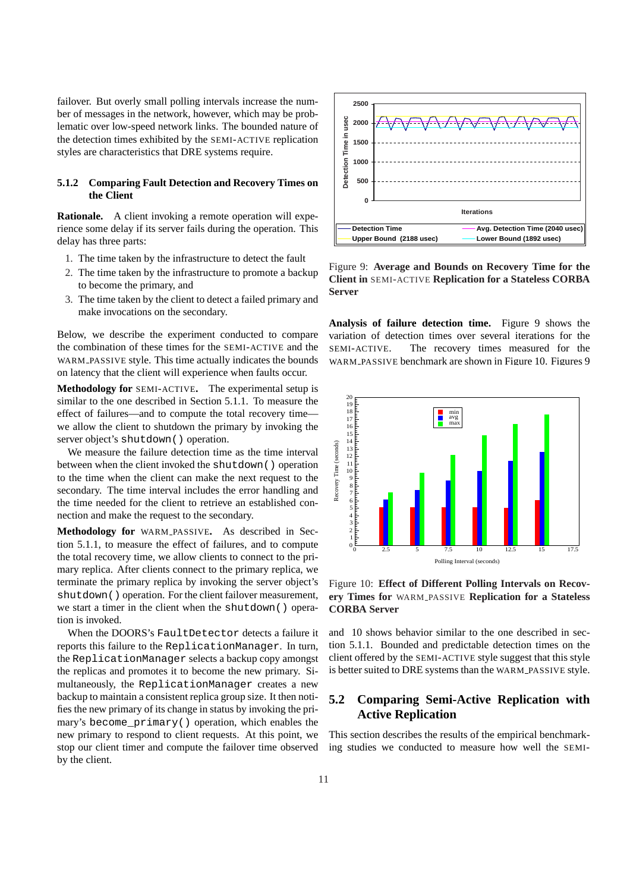failover. But overly small polling intervals increase the number of messages in the network, however, which may be problematic over low-speed network links. The bounded nature of the detection times exhibited by the SEMI-ACTIVE replication styles are characteristics that DRE systems require.

#### **5.1.2 Comparing Fault Detection and Recovery Times on the Client**

**Rationale.** A client invoking a remote operation will experience some delay if its server fails during the operation. This delay has three parts:

- 1. The time taken by the infrastructure to detect the fault
- 2. The time taken by the infrastructure to promote a backup to become the primary, and
- 3. The time taken by the client to detect a failed primary and make invocations on the secondary.

Below, we describe the experiment conducted to compare the combination of these times for the SEMI-ACTIVE and the WARM PASSIVE style. This time actually indicates the bounds on latency that the client will experience when faults occur.

**Methodology for** SEMI-ACTIVE**.** The experimental setup is similar to the one described in Section 5.1.1. To measure the effect of failures—and to compute the total recovery time we allow the client to shutdown the primary by invoking the server object's shutdown() operation.

We measure the failure detection time as the time interval between when the client invoked the shutdown() operation to the time when the client can make the next request to the secondary. The time interval includes the error handling and the time needed for the client to retrieve an established connection and make the request to the secondary.

**Methodology for** WARM PASSIVE**.** As described in Section 5.1.1, to measure the effect of failures, and to compute the total recovery time, we allow clients to connect to the primary replica. After clients connect to the primary replica, we terminate the primary replica by invoking the server object's shutdown() operation. For the client failover measurement, we start a timer in the client when the shutdown() operation is invoked.

When the DOORS's FaultDetector detects a failure it reports this failure to the ReplicationManager. In turn, the ReplicationManager selects a backup copy amongst the replicas and promotes it to become the new primary. Simultaneously, the ReplicationManager creates a new backup to maintain a consistent replica group size. It then notifies the new primary of its change in status by invoking the primary's become\_primary() operation, which enables the new primary to respond to client requests. At this point, we stop our client timer and compute the failover time observed by the client.



Figure 9: **Average and Bounds on Recovery Time for the Client in** SEMI-ACTIVE **Replication for a Stateless CORBA Server**

**Analysis of failure detection time.** Figure 9 shows the variation of detection times over several iterations for the SEMI-ACTIVE. The recovery times measured for the WARM PASSIVE benchmark are shown in Figure 10. Figures 9



Figure 10: **Effect of Different Polling Intervals on Recovery Times for** WARM PASSIVE **Replication for a Stateless CORBA Server**

and 10 shows behavior similar to the one described in section 5.1.1. Bounded and predictable detection times on the client offered by the SEMI-ACTIVE style suggest that this style is better suited to DRE systems than the WARM PASSIVE style.

## **5.2 Comparing Semi-Active Replication with Active Replication**

This section describes the results of the empirical benchmarking studies we conducted to measure how well the SEMI-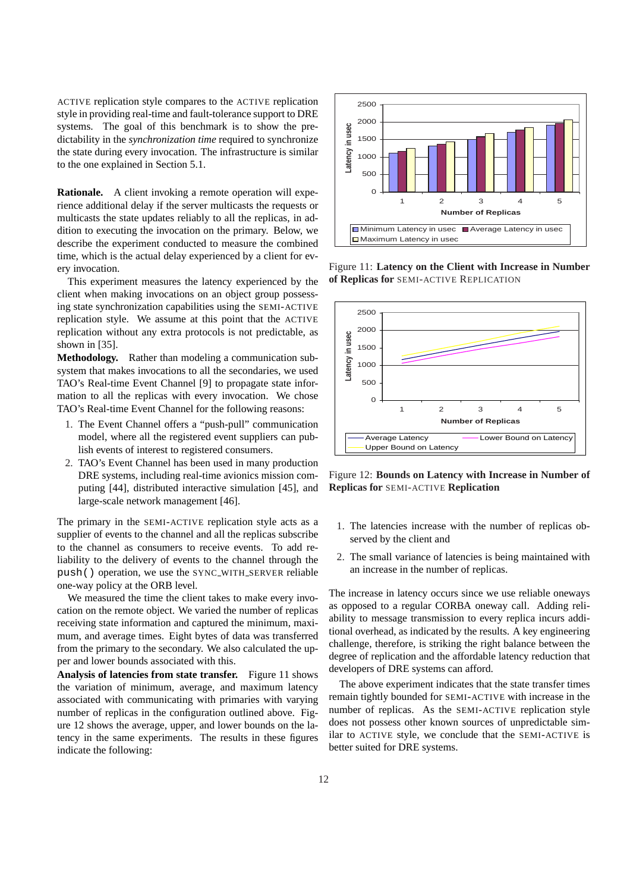ACTIVE replication style compares to the ACTIVE replication style in providing real-time and fault-tolerance support to DRE systems. The goal of this benchmark is to show the predictability in the *synchronization time* required to synchronize the state during every invocation. The infrastructure is similar to the one explained in Section 5.1.

**Rationale.** A client invoking a remote operation will experience additional delay if the server multicasts the requests or multicasts the state updates reliably to all the replicas, in addition to executing the invocation on the primary. Below, we describe the experiment conducted to measure the combined time, which is the actual delay experienced by a client for every invocation.

This experiment measures the latency experienced by the client when making invocations on an object group possessing state synchronization capabilities using the SEMI-ACTIVE replication style. We assume at this point that the ACTIVE replication without any extra protocols is not predictable, as shown in [35].

**Methodology.** Rather than modeling a communication subsystem that makes invocations to all the secondaries, we used TAO's Real-time Event Channel [9] to propagate state information to all the replicas with every invocation. We chose TAO's Real-time Event Channel for the following reasons:

- 1. The Event Channel offers a "push-pull" communication model, where all the registered event suppliers can publish events of interest to registered consumers.
- 2. TAO's Event Channel has been used in many production DRE systems, including real-time avionics mission computing [44], distributed interactive simulation [45], and large-scale network management [46].

The primary in the SEMI-ACTIVE replication style acts as a supplier of events to the channel and all the replicas subscribe to the channel as consumers to receive events. To add reliability to the delivery of events to the channel through the push() operation, we use the SYNC WITH SERVER reliable one-way policy at the ORB level.

We measured the time the client takes to make every invocation on the remote object. We varied the number of replicas receiving state information and captured the minimum, maximum, and average times. Eight bytes of data was transferred from the primary to the secondary. We also calculated the upper and lower bounds associated with this.

**Analysis of latencies from state transfer.** Figure 11 shows the variation of minimum, average, and maximum latency associated with communicating with primaries with varying number of replicas in the configuration outlined above. Figure 12 shows the average, upper, and lower bounds on the latency in the same experiments. The results in these figures indicate the following:



Figure 11: **Latency on the Client with Increase in Number of Replicas for** SEMI-ACTIVE REPLICATION



Figure 12: **Bounds on Latency with Increase in Number of Replicas for** SEMI-ACTIVE **Replication**

- 1. The latencies increase with the number of replicas observed by the client and
- 2. The small variance of latencies is being maintained with an increase in the number of replicas.

The increase in latency occurs since we use reliable oneways as opposed to a regular CORBA oneway call. Adding reliability to message transmission to every replica incurs additional overhead, as indicated by the results. A key engineering challenge, therefore, is striking the right balance between the degree of replication and the affordable latency reduction that developers of DRE systems can afford.

The above experiment indicates that the state transfer times remain tightly bounded for SEMI-ACTIVE with increase in the number of replicas. As the SEMI-ACTIVE replication style does not possess other known sources of unpredictable similar to ACTIVE style, we conclude that the SEMI-ACTIVE is better suited for DRE systems.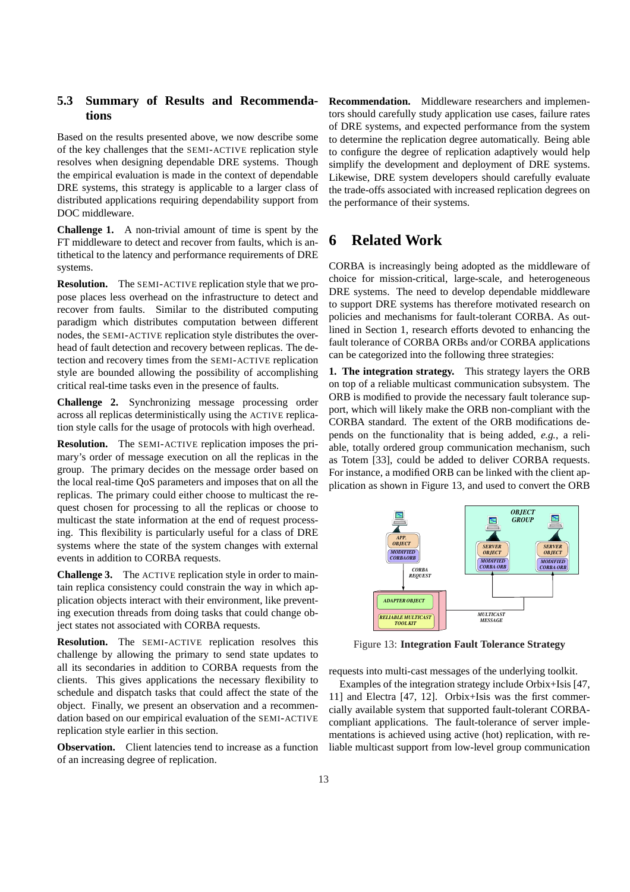## **5.3 Summary of Results and Recommendations**

Based on the results presented above, we now describe some of the key challenges that the SEMI-ACTIVE replication style resolves when designing dependable DRE systems. Though the empirical evaluation is made in the context of dependable DRE systems, this strategy is applicable to a larger class of distributed applications requiring dependability support from DOC middleware.

**Challenge 1.** A non-trivial amount of time is spent by the FT middleware to detect and recover from faults, which is antithetical to the latency and performance requirements of DRE systems.

**Resolution.** The SEMI-ACTIVE replication style that we propose places less overhead on the infrastructure to detect and recover from faults. Similar to the distributed computing paradigm which distributes computation between different nodes, the SEMI-ACTIVE replication style distributes the overhead of fault detection and recovery between replicas. The detection and recovery times from the SEMI-ACTIVE replication style are bounded allowing the possibility of accomplishing critical real-time tasks even in the presence of faults.

**Challenge 2.** Synchronizing message processing order across all replicas deterministically using the ACTIVE replication style calls for the usage of protocols with high overhead.

**Resolution.** The SEMI-ACTIVE replication imposes the primary's order of message execution on all the replicas in the group. The primary decides on the message order based on the local real-time QoS parameters and imposes that on all the replicas. The primary could either choose to multicast the request chosen for processing to all the replicas or choose to multicast the state information at the end of request processing. This flexibility is particularly useful for a class of DRE systems where the state of the system changes with external events in addition to CORBA requests.

**Challenge 3.** The ACTIVE replication style in order to maintain replica consistency could constrain the way in which application objects interact with their environment, like preventing execution threads from doing tasks that could change object states not associated with CORBA requests.

**Resolution.** The SEMI-ACTIVE replication resolves this challenge by allowing the primary to send state updates to all its secondaries in addition to CORBA requests from the clients. This gives applications the necessary flexibility to schedule and dispatch tasks that could affect the state of the object. Finally, we present an observation and a recommendation based on our empirical evaluation of the SEMI-ACTIVE replication style earlier in this section.

**Observation.** Client latencies tend to increase as a function of an increasing degree of replication.

**Recommendation.** Middleware researchers and implementors should carefully study application use cases, failure rates of DRE systems, and expected performance from the system to determine the replication degree automatically. Being able to configure the degree of replication adaptively would help simplify the development and deployment of DRE systems. Likewise, DRE system developers should carefully evaluate the trade-offs associated with increased replication degrees on the performance of their systems.

# **6 Related Work**

CORBA is increasingly being adopted as the middleware of choice for mission-critical, large-scale, and heterogeneous DRE systems. The need to develop dependable middleware to support DRE systems has therefore motivated research on policies and mechanisms for fault-tolerant CORBA. As outlined in Section 1, research efforts devoted to enhancing the fault tolerance of CORBA ORBs and/or CORBA applications can be categorized into the following three strategies:

**1. The integration strategy.** This strategy layers the ORB on top of a reliable multicast communication subsystem. The ORB is modified to provide the necessary fault tolerance support, which will likely make the ORB non-compliant with the CORBA standard. The extent of the ORB modifications depends on the functionality that is being added, *e.g.*, a reliable, totally ordered group communication mechanism, such as Totem [33], could be added to deliver CORBA requests. For instance, a modified ORB can be linked with the client application as shown in Figure 13, and used to convert the ORB



Figure 13: **Integration Fault Tolerance Strategy**

requests into multi-cast messages of the underlying toolkit.

Examples of the integration strategy include Orbix+Isis [47, 11] and Electra [47, 12]. Orbix+Isis was the first commercially available system that supported fault-tolerant CORBAcompliant applications. The fault-tolerance of server implementations is achieved using active (hot) replication, with reliable multicast support from low-level group communication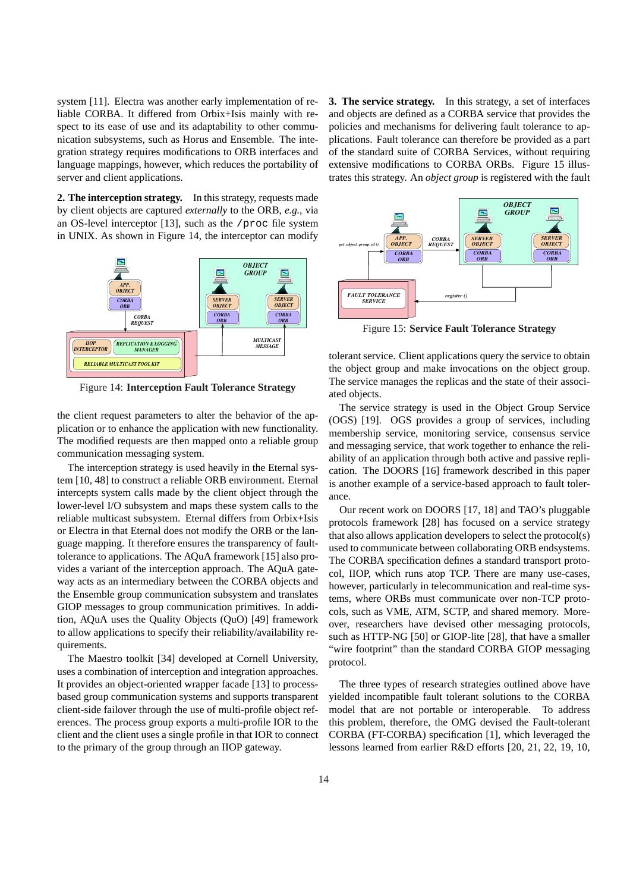system [11]. Electra was another early implementation of reliable CORBA. It differed from Orbix+Isis mainly with respect to its ease of use and its adaptability to other communication subsystems, such as Horus and Ensemble. The integration strategy requires modifications to ORB interfaces and language mappings, however, which reduces the portability of server and client applications.

**2. The interception strategy.** In this strategy, requests made by client objects are captured *externally* to the ORB, *e.g.*, via an OS-level interceptor [13], such as the /proc file system in UNIX. As shown in Figure 14, the interceptor can modify



Figure 14: **Interception Fault Tolerance Strategy**

the client request parameters to alter the behavior of the application or to enhance the application with new functionality. The modified requests are then mapped onto a reliable group communication messaging system.

The interception strategy is used heavily in the Eternal system [10, 48] to construct a reliable ORB environment. Eternal intercepts system calls made by the client object through the lower-level I/O subsystem and maps these system calls to the reliable multicast subsystem. Eternal differs from Orbix+Isis or Electra in that Eternal does not modify the ORB or the language mapping. It therefore ensures the transparency of faulttolerance to applications. The AQuA framework [15] also provides a variant of the interception approach. The AQuA gateway acts as an intermediary between the CORBA objects and the Ensemble group communication subsystem and translates GIOP messages to group communication primitives. In addition, AQuA uses the Quality Objects (QuO) [49] framework to allow applications to specify their reliability/availability requirements.

The Maestro toolkit [34] developed at Cornell University, uses a combination of interception and integration approaches. It provides an object-oriented wrapper facade [13] to processbased group communication systems and supports transparent client-side failover through the use of multi-profile object references. The process group exports a multi-profile IOR to the client and the client uses a single profile in that IOR to connect to the primary of the group through an IIOP gateway.

**3. The service strategy.** In this strategy, a set of interfaces and objects are defined as a CORBA service that provides the policies and mechanisms for delivering fault tolerance to applications. Fault tolerance can therefore be provided as a part of the standard suite of CORBA Services, without requiring extensive modifications to CORBA ORBs. Figure 15 illustrates this strategy. An *object group* is registered with the fault



Figure 15: **Service Fault Tolerance Strategy**

tolerant service. Client applications query the service to obtain the object group and make invocations on the object group. The service manages the replicas and the state of their associated objects.

The service strategy is used in the Object Group Service (OGS) [19]. OGS provides a group of services, including membership service, monitoring service, consensus service and messaging service, that work together to enhance the reliability of an application through both active and passive replication. The DOORS [16] framework described in this paper is another example of a service-based approach to fault tolerance.

Our recent work on DOORS [17, 18] and TAO's pluggable protocols framework [28] has focused on a service strategy that also allows application developers to select the protocol(s) used to communicate between collaborating ORB endsystems. The CORBA specification defines a standard transport protocol, IIOP, which runs atop TCP. There are many use-cases, however, particularly in telecommunication and real-time systems, where ORBs must communicate over non-TCP protocols, such as VME, ATM, SCTP, and shared memory. Moreover, researchers have devised other messaging protocols, such as HTTP-NG [50] or GIOP-lite [28], that have a smaller "wire footprint" than the standard CORBA GIOP messaging protocol.

The three types of research strategies outlined above have yielded incompatible fault tolerant solutions to the CORBA model that are not portable or interoperable. To address this problem, therefore, the OMG devised the Fault-tolerant CORBA (FT-CORBA) specification [1], which leveraged the lessons learned from earlier R&D efforts [20, 21, 22, 19, 10,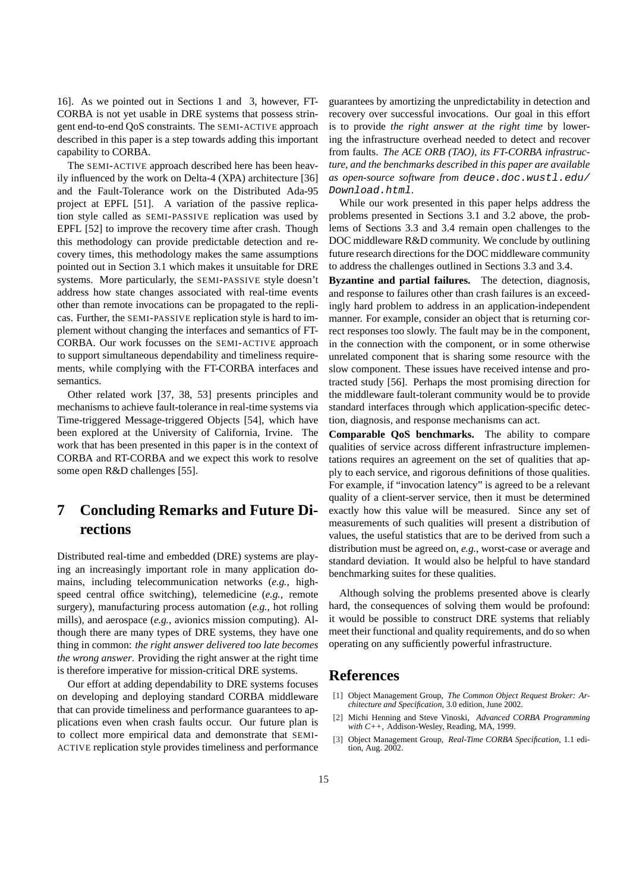16]. As we pointed out in Sections 1 and 3, however, FT-CORBA is not yet usable in DRE systems that possess stringent end-to-end QoS constraints. The SEMI-ACTIVE approach described in this paper is a step towards adding this important capability to CORBA.

The SEMI-ACTIVE approach described here has been heavily influenced by the work on Delta-4 (XPA) architecture [36] and the Fault-Tolerance work on the Distributed Ada-95 project at EPFL [51]. A variation of the passive replication style called as SEMI-PASSIVE replication was used by EPFL [52] to improve the recovery time after crash. Though this methodology can provide predictable detection and recovery times, this methodology makes the same assumptions pointed out in Section 3.1 which makes it unsuitable for DRE systems. More particularly, the SEMI-PASSIVE style doesn't address how state changes associated with real-time events other than remote invocations can be propagated to the replicas. Further, the SEMI-PASSIVE replication style is hard to implement without changing the interfaces and semantics of FT-CORBA. Our work focusses on the SEMI-ACTIVE approach to support simultaneous dependability and timeliness requirements, while complying with the FT-CORBA interfaces and semantics.

Other related work [37, 38, 53] presents principles and mechanisms to achieve fault-tolerance in real-time systems via Time-triggered Message-triggered Objects [54], which have been explored at the University of California, Irvine. The work that has been presented in this paper is in the context of CORBA and RT-CORBA and we expect this work to resolve some open R&D challenges [55].

# **7 Concluding Remarks and Future Directions**

Distributed real-time and embedded (DRE) systems are playing an increasingly important role in many application domains, including telecommunication networks (*e.g.*, highspeed central office switching), telemedicine (*e.g.*, remote surgery), manufacturing process automation (*e.g.*, hot rolling mills), and aerospace (*e.g.*, avionics mission computing). Although there are many types of DRE systems, they have one thing in common: *the right answer delivered too late becomes the wrong answer*. Providing the right answer at the right time is therefore imperative for mission-critical DRE systems.

Our effort at adding dependability to DRE systems focuses on developing and deploying standard CORBA middleware that can provide timeliness and performance guarantees to applications even when crash faults occur. Our future plan is to collect more empirical data and demonstrate that SEMI-ACTIVE replication style provides timeliness and performance guarantees by amortizing the unpredictability in detection and recovery over successful invocations. Our goal in this effort is to provide *the right answer at the right time* by lowering the infrastructure overhead needed to detect and recover from faults. *The ACE ORB (TAO), its FT-CORBA infrastructure, and the benchmarks described in this paper are available as open-source software from* deuce.doc.wustl.edu/ Download.html.

While our work presented in this paper helps address the problems presented in Sections 3.1 and 3.2 above, the problems of Sections 3.3 and 3.4 remain open challenges to the DOC middleware R&D community. We conclude by outlining future research directions for the DOC middleware community to address the challenges outlined in Sections 3.3 and 3.4.

**Byzantine and partial failures.** The detection, diagnosis, and response to failures other than crash failures is an exceedingly hard problem to address in an application-independent manner. For example, consider an object that is returning correct responses too slowly. The fault may be in the component, in the connection with the component, or in some otherwise unrelated component that is sharing some resource with the slow component. These issues have received intense and protracted study [56]. Perhaps the most promising direction for the middleware fault-tolerant community would be to provide standard interfaces through which application-specific detection, diagnosis, and response mechanisms can act.

**Comparable QoS benchmarks.** The ability to compare qualities of service across different infrastructure implementations requires an agreement on the set of qualities that apply to each service, and rigorous definitions of those qualities. For example, if "invocation latency" is agreed to be a relevant quality of a client-server service, then it must be determined exactly how this value will be measured. Since any set of measurements of such qualities will present a distribution of values, the useful statistics that are to be derived from such a distribution must be agreed on, *e.g.*, worst-case or average and standard deviation. It would also be helpful to have standard benchmarking suites for these qualities.

Although solving the problems presented above is clearly hard, the consequences of solving them would be profound: it would be possible to construct DRE systems that reliably meet their functional and quality requirements, and do so when operating on any sufficiently powerful infrastructure.

## **References**

- [1] Object Management Group, *The Common Object Request Broker: Architecture and Specification*, 3.0 edition, June 2002.
- [2] Michi Henning and Steve Vinoski, *Advanced CORBA Programming with C++*, Addison-Wesley, Reading, MA, 1999.
- [3] Object Management Group, *Real-Time CORBA Specification*, 1.1 edition, Aug. 2002.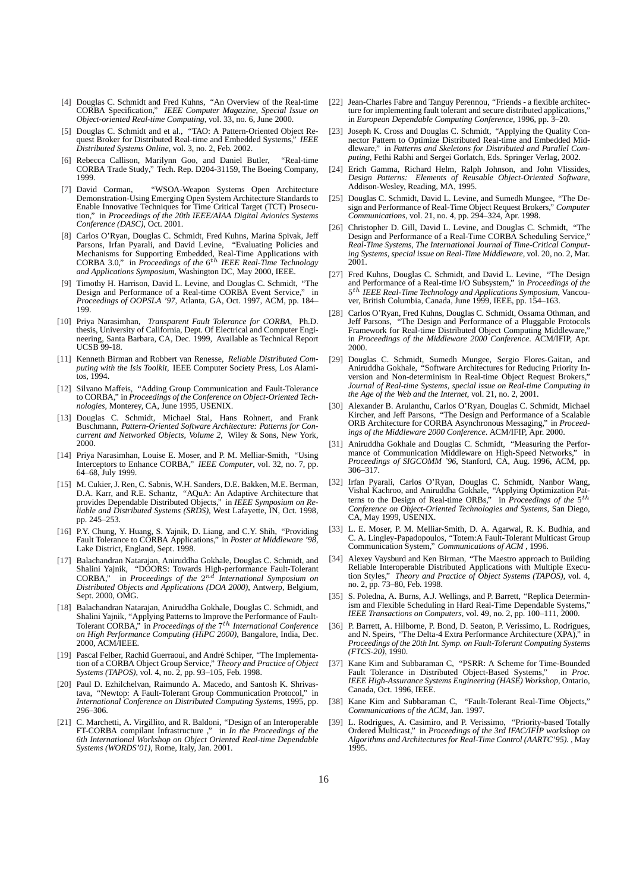- [4] Douglas C. Schmidt and Fred Kuhns, "An Overview of the Real-time CORBA Specification," *IEEE Computer Magazine, Special Issue on Object-oriented Real-time Computing*, vol. 33, no. 6, June 2000.
- [5] Douglas C. Schmidt and et al., "TAO: A Pattern-Oriented Object Request Broker for Distributed Real-time and Embedded Systems," *IEEE Distributed Systems Online*, vol. 3, no. 2, Feb. 2002.
- [6] Rebecca Callison, Marilynn Goo, and Daniel Butler, "Real-time CORBA Trade Study," Tech. Rep. D204-31159, The Boeing Company, 1999.
- [7] David Corman, "WSOA-Weapon Systems Open Architecture Demonstration-Using Emerging Open System Architecture Standards to Enable Innovative Techniques for Time Critical Target (TCT) Prosecution," in *Proceedings of the 20th IEEE/AIAA Digital Avionics Systems Conference (DASC)*, Oct. 2001.
- [8] Carlos O'Ryan, Douglas C. Schmidt, Fred Kuhns, Marina Spivak, Jeff Parsons, Irfan Pyarali, and David Levine, "Evaluating Policies and Mechanisms for Supporting Embedded, Real-Time Applications with CORBA 3.0," in *Proceedings of the* 6<sup>th</sup> IEEE Real-Time Technology *and Applications Symposium*, Washington DC, May 2000, IEEE.
- [9] Timothy H. Harrison, David L. Levine, and Douglas C. Schmidt, "The Design and Performance of a Real-time CORBA Event Service," in *Proceedings of OOPSLA '97*, Atlanta, GA, Oct. 1997, ACM, pp. 184– 199.
- [10] Priya Narasimhan, *Transparent Fault Tolerance for CORBA*, Ph.D. thesis, University of California, Dept. Of Electrical and Computer Engineering, Santa Barbara, CA, Dec. 1999, Available as Technical Report UCSB 99-18.
- [11] Kenneth Birman and Robbert van Renesse, *Reliable Distributed Computing with the Isis Toolkit*, IEEE Computer Society Press, Los Alamitos, 1994.
- [12] Silvano Maffeis, "Adding Group Communication and Fault-Tolerance to CORBA," in *Proceedings of the Conference on Object-Oriented Technologies*, Monterey, CA, June 1995, USENIX.
- [13] Douglas C. Schmidt, Michael Stal, Hans Rohnert, and Frank Buschmann, *Pattern-Oriented Software Architecture: Patterns for Concurrent and Networked Objects, Volume 2*, Wiley & Sons, New York, 2000.
- [14] Priya Narasimhan, Louise E. Moser, and P. M. Melliar-Smith, "Using Interceptors to Enhance CORBA," *IEEE Computer*, vol. 32, no. 7, pp. 64–68, July 1999.
- [15] M. Cukier, J. Ren, C. Sabnis, W.H. Sanders, D.E. Bakken, M.E. Berman, D.A. Karr, and R.E. Schantz, "AQuA: An Adaptive Architecture that provides Dependable Distributed Objects," in *IEEE Symposium on Reliable and Distributed Systems (SRDS)*, West Lafayette, IN, Oct. 1998, pp. 245–253.
- [16] P.Y. Chung, Y. Huang, S. Yajnik, D. Liang, and C.Y. Shih, "Providing Fault Tolerance to CORBA Applications," in *Poster at Middleware '98*, Lake District, England, Sept. 1998.
- [17] Balachandran Natarajan, Aniruddha Gokhale, Douglas C. Schmidt, and Shalini Yajnik, "DOORS: Towards High-performance Fault-Tolerant CORBA," in *Proceedings of the*  $2^{nd}$  *International Symposium on Distributed Objects and Applications (DOA 2000)*, Antwerp, Belgium, Sept. 2000, OMG.
- [18] Balachandran Natarajan, Aniruddha Gokhale, Douglas C. Schmidt, and Shalini Yajnik, "Applying Patterns to Improve the Performance of Fault-Tolerant CORBA," in *Proceedings of the* 7 th *International Conference on High Performance Computing (HiPC 2000)*, Bangalore, India, Dec. 2000, ACM/IEEE.
- [19] Pascal Felber, Rachid Guerraoui, and André Schiper, "The Implementation of a CORBA Object Group Service," *Theory and Practice of Object Systems (TAPOS)*, vol. 4, no. 2, pp. 93–105, Feb. 1998.
- [20] Paul D. Ezhilchelvan, Raimundo A. Macedo, and Santosh K. Shrivastava, "Newtop: A Fault-Tolerant Group Communication Protocol," in *International Conference on Distributed Computing Systems*, 1995, pp. 296–306.
- [21] C. Marchetti, A. Virgillito, and R. Baldoni, "Design of an Interoperable FT-CORBA compilant Infrastructure ," in *In the Proceedings of the 6th International Workshop on Object Oriented Real-time Dependable Systems (WORDS'01)*, Rome, Italy, Jan. 2001.
- [22] Jean-Charles Fabre and Tanguy Perennou, "Friends a flexible architecture for implementing fault tolerant and secure distributed applications,' in *European Dependable Computing Conference*, 1996, pp. 3–20.
- [23] Joseph K. Cross and Douglas C. Schmidt, "Applying the Quality Connector Pattern to Optimize Distributed Real-time and Embedded Middleware," in *Patterns and Skeletons for Distributed and Parallel Computing*, Fethi Rabhi and Sergei Gorlatch, Eds. Springer Verlag, 2002.
- [24] Erich Gamma, Richard Helm, Ralph Johnson, and John Vlissides, *Design Patterns: Elements of Reusable Object-Oriented Software*, Addison-Wesley, Reading, MA, 1995.
- Douglas C. Schmidt, David L. Levine, and Sumedh Mungee, "The Design and Performance of Real-Time Object Request Brokers," *Computer Communications*, vol. 21, no. 4, pp. 294–324, Apr. 1998.
- [26] Christopher D. Gill, David L. Levine, and Douglas C. Schmidt, "The Design and Performance of a Real-Time CORBA Scheduling Service,' *Real-Time Systems, The International Journal of Time-Critical Computing Systems, special issue on Real-Time Middleware*, vol. 20, no. 2, Mar. 2001.
- [27] Fred Kuhns, Douglas C. Schmidt, and David L. Levine, "The Design and Performance of a Real-time I/O Subsystem," in *Proceedings of the* 5 th *IEEE Real-Time Technology and Applications Symposium*, Vancouver, British Columbia, Canada, June 1999, IEEE, pp. 154–163.
- [28] Carlos O'Ryan, Fred Kuhns, Douglas C. Schmidt, Ossama Othman, and Jeff Parsons, "The Design and Performance of a Pluggable Protocols Framework for Real-time Distributed Object Computing Middleware," in *Proceedings of the Middleware 2000 Conference*. ACM/IFIP, Apr. 2000.
- [29] Douglas C. Schmidt, Sumedh Mungee, Sergio Flores-Gaitan, and Aniruddha Gokhale, "Software Architectures for Reducing Priority Inversion and Non-determinism in Real-time Object Request Brokers," *Journal of Real-time Systems, special issue on Real-time Computing in the Age of the Web and the Internet*, vol. 21, no. 2, 2001.
- [30] Alexander B. Arulanthu, Carlos O'Ryan, Douglas C. Schmidt, Michael Kircher, and Jeff Parsons, "The Design and Performance of a Scalable ORB Architecture for CORBA Asynchronous Messaging," in *Proceedings of the Middleware 2000 Conference*. ACM/IFIP, Apr. 2000.
- [31] Aniruddha Gokhale and Douglas C. Schmidt, "Measuring the Performance of Communication Middleware on High-Speed Networks," in *Proceedings of SIGCOMM '96*, Stanford, CA, Aug. 1996, ACM, pp. 306–317.
- [32] Irfan Pyarali, Carlos O'Ryan, Douglas C. Schmidt, Nanbor Wang, Vishal Kachroo, and Aniruddha Gokhale, "Applying Optimization Patterns to the Design of Real-time ORBs," in *Proceedings of the* 5<sup>th</sup> *Conference on Object-Oriented Technologies and Systems*, San Diego, CA, May 1999, USENIX.
- [33] L. E. Moser, P. M. Melliar-Smith, D. A. Agarwal, R. K. Budhia, and C. A. Lingley-Papadopoulos, "Totem:A Fault-Tolerant Multicast Group Communication System," *Communications of ACM* , 1996.
- [34] Alexey Vaysburd and Ken Birman, "The Maestro approach to Building Reliable Interoperable Distributed Applications with Multiple Execution Styles," *Theory and Practice of Object Systems (TAPOS)*, vol. 4, no. 2, pp. 73–80, Feb. 1998.
- [35] S. Poledna, A. Burns, A.J. Wellings, and P. Barrett, "Replica Determinism and Flexible Scheduling in Hard Real-Time Dependable Systems,' *IEEE Transactions on Computers*, vol. 49, no. 2, pp. 100–111, 2000.
- [36] P. Barrett, A. Hilborne, P. Bond, D. Seaton, P. Verissimo, L. Rodrigues, and N. Speirs, "The Delta-4 Extra Performance Architecture (XPA)," in *Proceedings of the 20th Int. Symp. on Fault-Tolerant Computing Systems (FTCS-20)*, 1990.
- [37] Kane Kim and Subbaraman C, "PSRR: A Scheme for Time-Bounded Fault Tolerance in Distributed Object-Based Systems," in *Proc. IEEE High-Assurance Systems Engineering (HASE) Workshop*, Ontario, Canada, Oct. 1996, IEEE.
- [38] Kane Kim and Subbaraman C, "Fault-Tolerant Real-Time Objects," *Communications of the ACM*, Jan. 1997.
- L. Rodrigues, A. Casimiro, and P. Verissimo, "Priority-based Totally Ordered Multicast," in *Proceedings of the 3rd IFAC/IFIP workshop on Algorithms and Architectures for Real-Time Control (AARTC'95).* , May 1995.